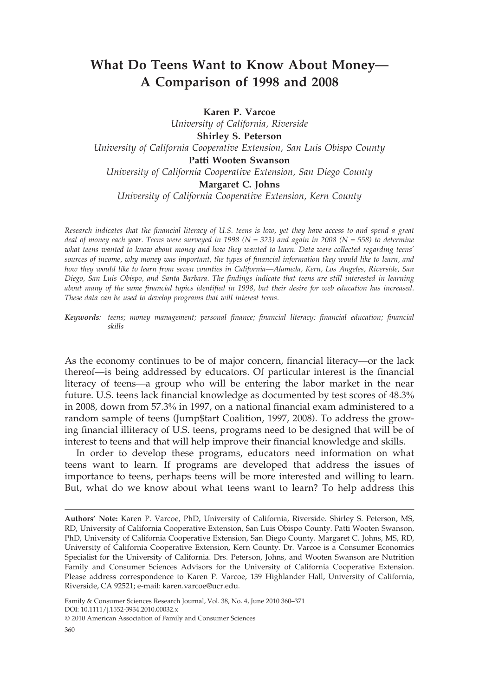# What Do Teens Want to Know About Money— A Comparison of 1998 and 2008

Karen P. Varcoe University of California, Riverside Shirley S. Peterson University of California Cooperative Extension, San Luis Obispo County Patti Wooten Swanson University of California Cooperative Extension, San Diego County Margaret C. Johns University of California Cooperative Extension, Kern County

Research indicates that the financial literacy of U.S. teens is low, yet they have access to and spend a great deal of money each year. Teens were surveyed in 1998 ( $N = 323$ ) and again in 2008 ( $N = 558$ ) to determine what teens wanted to know about money and how they wanted to learn. Data were collected regarding teens' sources of income, why money was important, the types of financial information they would like to learn, and how they would like to learn from seven counties in California—Alameda, Kern, Los Angeles, Riverside, San Diego, San Luis Obispo, and Santa Barbara. The findings indicate that teens are still interested in learning about many of the same financial topics identified in 1998, but their desire for web education has increased. These data can be used to develop programs that will interest teens.

Keywords: teens; money management; personal finance; financial literacy; financial education; financial skills

As the economy continues to be of major concern, financial literacy—or the lack thereof—is being addressed by educators. Of particular interest is the financial literacy of teens—a group who will be entering the labor market in the near future. U.S. teens lack financial knowledge as documented by test scores of 48.3% in 2008, down from 57.3% in 1997, on a national financial exam administered to a random sample of teens (Jump\$tart Coalition, 1997, 2008). To address the growing financial illiteracy of U.S. teens, programs need to be designed that will be of interest to teens and that will help improve their financial knowledge and skills.

In order to develop these programs, educators need information on what teens want to learn. If programs are developed that address the issues of importance to teens, perhaps teens will be more interested and willing to learn. But, what do we know about what teens want to learn? To help address this

Family & Consumer Sciences Research Journal, Vol. 38, No. 4, June 2010 360–371 DOI: 10.1111/j.1552-3934.2010.00032.x

- 2010 American Association of Family and Consumer Sciences

Authors' Note: Karen P. Varcoe, PhD, University of California, Riverside. Shirley S. Peterson, MS, RD, University of California Cooperative Extension, San Luis Obispo County. Patti Wooten Swanson, PhD, University of California Cooperative Extension, San Diego County. Margaret C. Johns, MS, RD, University of California Cooperative Extension, Kern County. Dr. Varcoe is a Consumer Economics Specialist for the University of California. Drs. Peterson, Johns, and Wooten Swanson are Nutrition Family and Consumer Sciences Advisors for the University of California Cooperative Extension. Please address correspondence to Karen P. Varcoe, 139 Highlander Hall, University of California, Riverside, CA 92521; e-mail: karen.varcoe@ucr.edu.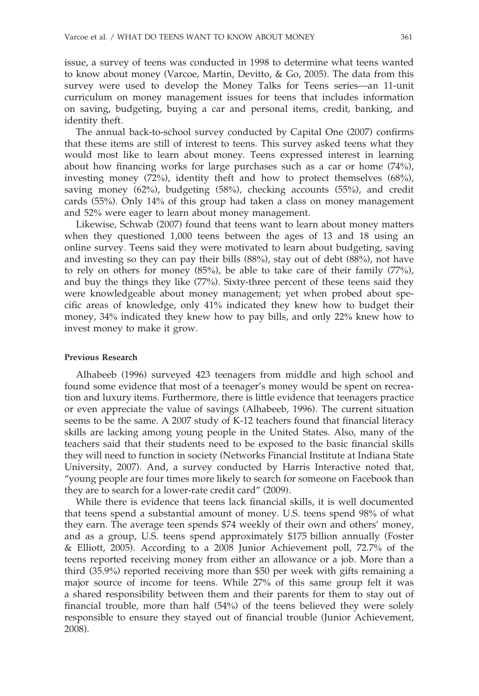issue, a survey of teens was conducted in 1998 to determine what teens wanted to know about money (Varcoe, Martin, Devitto, & Go, 2005). The data from this survey were used to develop the Money Talks for Teens series—an 11-unit curriculum on money management issues for teens that includes information on saving, budgeting, buying a car and personal items, credit, banking, and identity theft.

The annual back-to-school survey conducted by Capital One (2007) confirms that these items are still of interest to teens. This survey asked teens what they would most like to learn about money. Teens expressed interest in learning about how financing works for large purchases such as a car or home (74%), investing money (72%), identity theft and how to protect themselves (68%), saving money (62%), budgeting (58%), checking accounts (55%), and credit cards (55%). Only 14% of this group had taken a class on money management and 52% were eager to learn about money management.

Likewise, Schwab (2007) found that teens want to learn about money matters when they questioned 1,000 teens between the ages of 13 and 18 using an online survey. Teens said they were motivated to learn about budgeting, saving and investing so they can pay their bills (88%), stay out of debt (88%), not have to rely on others for money (85%), be able to take care of their family (77%), and buy the things they like (77%). Sixty-three percent of these teens said they were knowledgeable about money management; yet when probed about specific areas of knowledge, only 41% indicated they knew how to budget their money, 34% indicated they knew how to pay bills, and only 22% knew how to invest money to make it grow.

### Previous Research

Alhabeeb (1996) surveyed 423 teenagers from middle and high school and found some evidence that most of a teenager's money would be spent on recreation and luxury items. Furthermore, there is little evidence that teenagers practice or even appreciate the value of savings (Alhabeeb, 1996). The current situation seems to be the same. A 2007 study of K-12 teachers found that financial literacy skills are lacking among young people in the United States. Also, many of the teachers said that their students need to be exposed to the basic financial skills they will need to function in society (Networks Financial Institute at Indiana State University, 2007). And, a survey conducted by Harris Interactive noted that, ''young people are four times more likely to search for someone on Facebook than they are to search for a lower-rate credit card'' (2009).

While there is evidence that teens lack financial skills, it is well documented that teens spend a substantial amount of money. U.S. teens spend 98% of what they earn. The average teen spends \$74 weekly of their own and others' money, and as a group, U.S. teens spend approximately \$175 billion annually (Foster & Elliott, 2005). According to a 2008 Junior Achievement poll, 72.7% of the teens reported receiving money from either an allowance or a job. More than a third (35.9%) reported receiving more than \$50 per week with gifts remaining a major source of income for teens. While 27% of this same group felt it was a shared responsibility between them and their parents for them to stay out of financial trouble, more than half (54%) of the teens believed they were solely responsible to ensure they stayed out of financial trouble (Junior Achievement, 2008).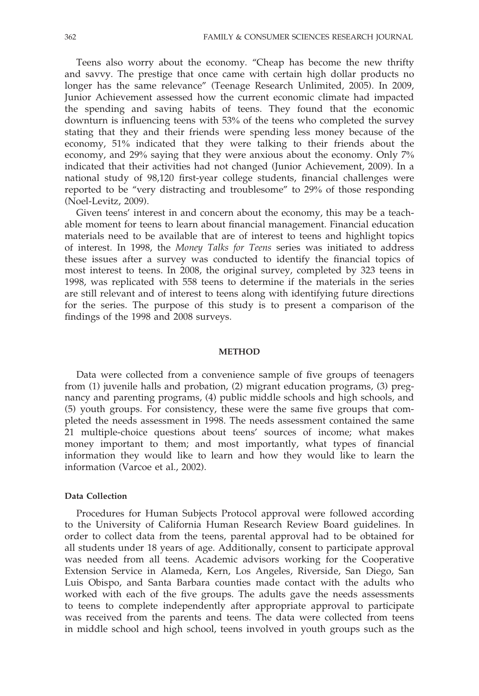Teens also worry about the economy. ''Cheap has become the new thrifty and savvy. The prestige that once came with certain high dollar products no longer has the same relevance'' (Teenage Research Unlimited, 2005). In 2009, Junior Achievement assessed how the current economic climate had impacted the spending and saving habits of teens. They found that the economic downturn is influencing teens with 53% of the teens who completed the survey stating that they and their friends were spending less money because of the economy, 51% indicated that they were talking to their friends about the economy, and 29% saying that they were anxious about the economy. Only 7% indicated that their activities had not changed (Junior Achievement, 2009). In a national study of 98,120 first-year college students, financial challenges were reported to be ''very distracting and troublesome'' to 29% of those responding (Noel-Levitz, 2009).

Given teens' interest in and concern about the economy, this may be a teachable moment for teens to learn about financial management. Financial education materials need to be available that are of interest to teens and highlight topics of interest. In 1998, the Money Talks for Teens series was initiated to address these issues after a survey was conducted to identify the financial topics of most interest to teens. In 2008, the original survey, completed by 323 teens in 1998, was replicated with 558 teens to determine if the materials in the series are still relevant and of interest to teens along with identifying future directions for the series. The purpose of this study is to present a comparison of the findings of the 1998 and 2008 surveys.

#### METHOD

Data were collected from a convenience sample of five groups of teenagers from (1) juvenile halls and probation, (2) migrant education programs, (3) pregnancy and parenting programs, (4) public middle schools and high schools, and (5) youth groups. For consistency, these were the same five groups that completed the needs assessment in 1998. The needs assessment contained the same 21 multiple-choice questions about teens' sources of income; what makes money important to them; and most importantly, what types of financial information they would like to learn and how they would like to learn the information (Varcoe et al., 2002).

# Data Collection

Procedures for Human Subjects Protocol approval were followed according to the University of California Human Research Review Board guidelines. In order to collect data from the teens, parental approval had to be obtained for all students under 18 years of age. Additionally, consent to participate approval was needed from all teens. Academic advisors working for the Cooperative Extension Service in Alameda, Kern, Los Angeles, Riverside, San Diego, San Luis Obispo, and Santa Barbara counties made contact with the adults who worked with each of the five groups. The adults gave the needs assessments to teens to complete independently after appropriate approval to participate was received from the parents and teens. The data were collected from teens in middle school and high school, teens involved in youth groups such as the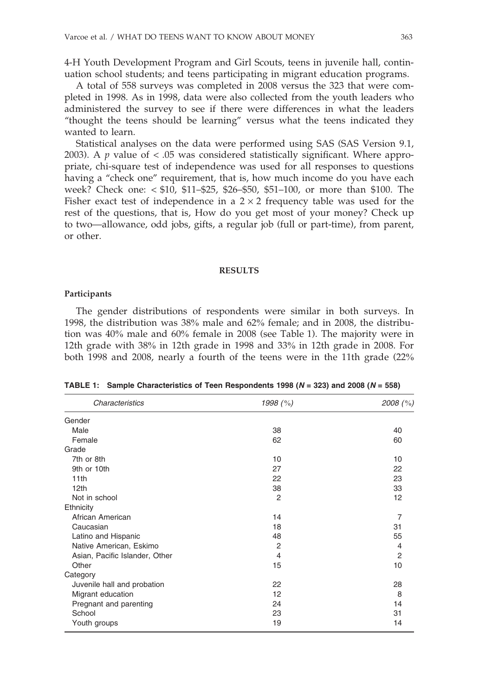4-H Youth Development Program and Girl Scouts, teens in juvenile hall, continuation school students; and teens participating in migrant education programs.

A total of 558 surveys was completed in 2008 versus the 323 that were completed in 1998. As in 1998, data were also collected from the youth leaders who administered the survey to see if there were differences in what the leaders ''thought the teens should be learning'' versus what the teens indicated they wanted to learn.

Statistical analyses on the data were performed using SAS (SAS Version 9.1, 2003). A p value of  $\lt$  0.05 was considered statistically significant. Where appropriate, chi-square test of independence was used for all responses to questions having a "check one" requirement, that is, how much income do you have each week? Check one: < \$10, \$11–\$25, \$26–\$50, \$51–100, or more than \$100. The Fisher exact test of independence in a  $2 \times 2$  frequency table was used for the rest of the questions, that is, How do you get most of your money? Check up to two—allowance, odd jobs, gifts, a regular job (full or part-time), from parent, or other.

### RESULTS

## Participants

The gender distributions of respondents were similar in both surveys. In 1998, the distribution was 38% male and 62% female; and in 2008, the distribution was 40% male and 60% female in 2008 (see Table 1). The majority were in 12th grade with 38% in 12th grade in 1998 and 33% in 12th grade in 2008. For both 1998 and 2008, nearly a fourth of the teens were in the 11th grade (22%

| Characteristics                | 1998 $(\%)$    | $2008(^{0}_{0})$ |
|--------------------------------|----------------|------------------|
| Gender                         |                |                  |
| Male                           | 38             | 40               |
| Female                         | 62             | 60               |
| Grade                          |                |                  |
| 7th or 8th                     | 10             | 10               |
| 9th or 10th                    | 27             | 22               |
| 11 <sup>th</sup>               | 22             | 23               |
| 12th                           | 38             | 33               |
| Not in school                  | $\overline{2}$ | 12 <sup>2</sup>  |
| Ethnicity                      |                |                  |
| African American               | 14             | $\overline{7}$   |
| Caucasian                      | 18             | 31               |
| Latino and Hispanic            | 48             | 55               |
| Native American, Eskimo        | $\overline{2}$ | 4                |
| Asian, Pacific Islander, Other | $\overline{4}$ | $\overline{2}$   |
| Other                          | 15             | 10               |
| Category                       |                |                  |
| Juvenile hall and probation    | 22             | 28               |
| Migrant education              | 12             | 8                |
| Pregnant and parenting         | 24             | 14               |
| School                         | 23             | 31               |
| Youth groups                   | 19             | 14               |

TABLE 1: Sample Characteristics of Teen Respondents 1998 ( $N = 323$ ) and 2008 ( $N = 558$ )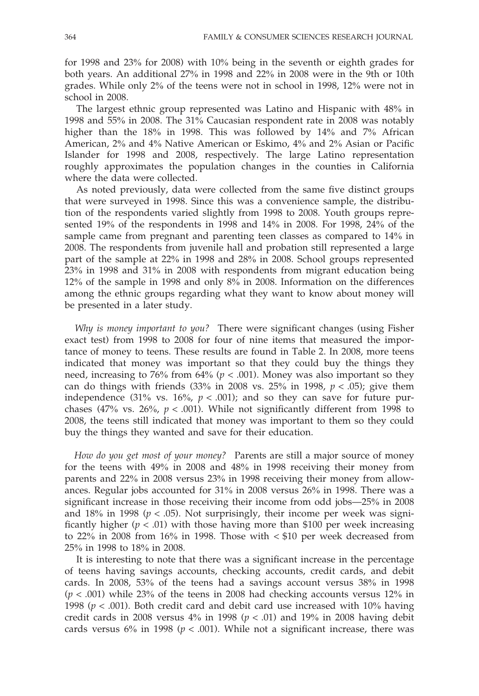for 1998 and 23% for 2008) with 10% being in the seventh or eighth grades for both years. An additional 27% in 1998 and 22% in 2008 were in the 9th or 10th grades. While only 2% of the teens were not in school in 1998, 12% were not in school in 2008.

The largest ethnic group represented was Latino and Hispanic with 48% in 1998 and 55% in 2008. The 31% Caucasian respondent rate in 2008 was notably higher than the 18% in 1998. This was followed by 14% and 7% African American, 2% and 4% Native American or Eskimo, 4% and 2% Asian or Pacific Islander for 1998 and 2008, respectively. The large Latino representation roughly approximates the population changes in the counties in California where the data were collected.

As noted previously, data were collected from the same five distinct groups that were surveyed in 1998. Since this was a convenience sample, the distribution of the respondents varied slightly from 1998 to 2008. Youth groups represented 19% of the respondents in 1998 and 14% in 2008. For 1998, 24% of the sample came from pregnant and parenting teen classes as compared to 14% in 2008. The respondents from juvenile hall and probation still represented a large part of the sample at 22% in 1998 and 28% in 2008. School groups represented 23% in 1998 and 31% in 2008 with respondents from migrant education being 12% of the sample in 1998 and only 8% in 2008. Information on the differences among the ethnic groups regarding what they want to know about money will be presented in a later study.

Why is money important to you? There were significant changes (using Fisher exact test) from 1998 to 2008 for four of nine items that measured the importance of money to teens. These results are found in Table 2. In 2008, more teens indicated that money was important so that they could buy the things they need, increasing to 76% from 64% ( $p < .001$ ). Money was also important so they can do things with friends  $(33\%$  in 2008 vs. 25% in 1998,  $p < .05$ ; give them independence (31% vs. 16%,  $p < .001$ ); and so they can save for future purchases (47% vs. 26%,  $p < .001$ ). While not significantly different from 1998 to 2008, the teens still indicated that money was important to them so they could buy the things they wanted and save for their education.

How do you get most of your money? Parents are still a major source of money for the teens with 49% in 2008 and 48% in 1998 receiving their money from parents and 22% in 2008 versus 23% in 1998 receiving their money from allowances. Regular jobs accounted for 31% in 2008 versus 26% in 1998. There was a significant increase in those receiving their income from odd jobs—25% in 2008 and 18% in 1998 ( $p < .05$ ). Not surprisingly, their income per week was significantly higher ( $p < .01$ ) with those having more than \$100 per week increasing to 22% in 2008 from 16% in 1998. Those with < \$10 per week decreased from 25% in 1998 to 18% in 2008.

It is interesting to note that there was a significant increase in the percentage of teens having savings accounts, checking accounts, credit cards, and debit cards. In 2008, 53% of the teens had a savings account versus 38% in 1998  $(p < .001)$  while 23% of the teens in 2008 had checking accounts versus 12% in 1998 ( $p < .001$ ). Both credit card and debit card use increased with 10% having credit cards in 2008 versus 4% in 1998 ( $p < .01$ ) and 19% in 2008 having debit cards versus 6% in 1998 ( $p < .001$ ). While not a significant increase, there was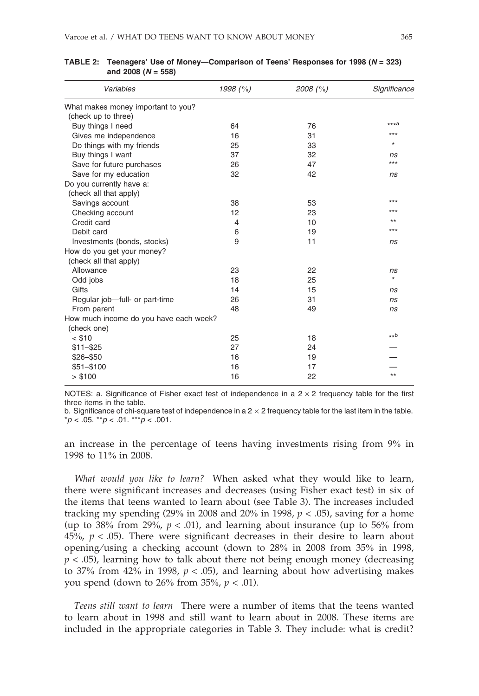| Variables                              | 1998 $(\% )$ | $2008(^{0}_{0})$ | Significance |
|----------------------------------------|--------------|------------------|--------------|
| What makes money important to you?     |              |                  |              |
| (check up to three)                    |              |                  |              |
| Buy things I need                      | 64           | 76               | $***a$       |
| Gives me independence                  | 16           | 31               | $***$        |
| Do things with my friends              | 25           | 33               | $\star$      |
| Buy things I want                      | 37           | 32               | ns           |
| Save for future purchases              | 26           | 47               | $***$        |
| Save for my education                  | 32           | 42               | ns           |
| Do you currently have a:               |              |                  |              |
| (check all that apply)                 |              |                  |              |
| Savings account                        | 38           | 53               | $***$        |
| Checking account                       | 12           | 23               | ***          |
| Credit card                            | 4            | 10               | $***$        |
| Debit card                             | 6            | 19               | $***$        |
| Investments (bonds, stocks)            | 9            | 11               | ns           |
| How do you get your money?             |              |                  |              |
| (check all that apply)                 |              |                  |              |
| Allowance                              | 23           | 22               | ns           |
| Odd jobs                               | 18           | 25               | $^\star$     |
| Gifts                                  | 14           | 15               | ns           |
| Regular job-full- or part-time         | 26           | 31               | ns           |
| From parent                            | 48           | 49               | ns           |
| How much income do you have each week? |              |                  |              |
| (check one)                            |              |                  |              |
| $<$ \$10                               | 25           | 18               | $*$ b        |
| $$11 - $25$                            | 27           | 24               |              |
| $$26 - $50$                            | 16           | 19               |              |
| \$51-\$100                             | 16           | 17               |              |
| > \$100                                | 16           | 22               | $***$        |

TABLE 2: Teenagers' Use of Money—Comparison of Teens' Responses for 1998 (N = 323) and 2008 ( $N = 558$ )

NOTES: a. Significance of Fisher exact test of independence in a  $2 \times 2$  frequency table for the first three items in the table.

b. Significance of chi-square test of independence in a  $2 \times 2$  frequency table for the last item in the table.  $*p < .05$ .  $*p < .01$ .  $**p < .001$ .

an increase in the percentage of teens having investments rising from 9% in 1998 to 11% in 2008.

What would you like to learn? When asked what they would like to learn, there were significant increases and decreases (using Fisher exact test) in six of the items that teens wanted to learn about (see Table 3). The increases included tracking my spending  $(29\%$  in 2008 and 20% in 1998,  $p < .05$ ), saving for a home (up to 38% from 29%,  $p < .01$ ), and learning about insurance (up to 56% from 45%,  $p < .05$ ). There were significant decreases in their desire to learn about opening ⁄using a checking account (down to 28% in 2008 from 35% in 1998,  $p < .05$ ), learning how to talk about there not being enough money (decreasing to 37% from 42% in 1998,  $p < .05$ ), and learning about how advertising makes you spend (down to 26% from 35%,  $p < .01$ ).

Teens still want to learn There were a number of items that the teens wanted to learn about in 1998 and still want to learn about in 2008. These items are included in the appropriate categories in Table 3. They include: what is credit?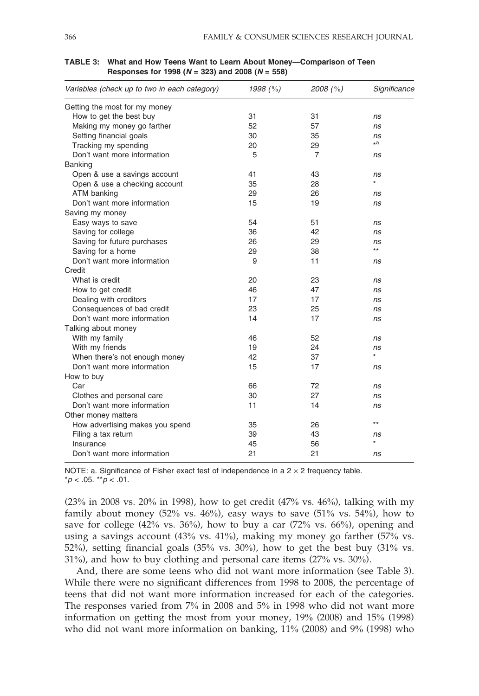| Variables (check up to two in each category) | 1998 $(%)$ | 2008 $(%)$     | Significance |
|----------------------------------------------|------------|----------------|--------------|
| Getting the most for my money                |            |                |              |
| How to get the best buy                      | 31         | 31             | ns           |
| Making my money go farther                   | 52         | 57             | ns           |
| Setting financial goals                      | 30         | 35             | ns           |
| Tracking my spending                         | 20         | 29             | $*a$         |
| Don't want more information                  | 5          | $\overline{7}$ | ns           |
| <b>Banking</b>                               |            |                |              |
| Open & use a savings account                 | 41         | 43             | ns           |
| Open & use a checking account                | 35         | 28             | $\star$      |
| ATM banking                                  | 29         | 26             | ns           |
| Don't want more information                  | 15         | 19             | ns           |
| Saving my money                              |            |                |              |
| Easy ways to save                            | 54         | 51             | ns           |
| Saving for college                           | 36         | 42             | ns           |
| Saving for future purchases                  | 26         | 29             | ns           |
| Saving for a home                            | 29         | 38             | $***$        |
| Don't want more information                  | 9          | 11             | ns           |
| Credit                                       |            |                |              |
| What is credit                               | 20         | 23             | ns           |
| How to get credit                            | 46         | 47             | ns           |
| Dealing with creditors                       | 17         | 17             | ns           |
| Consequences of bad credit                   | 23         | 25             | ns           |
| Don't want more information                  | 14         | 17             | ns           |
| Talking about money                          |            |                |              |
| With my family                               | 46         | 52             | ns           |
| With my friends                              | 19         | 24             | ns           |
| When there's not enough money                | 42         | 37             | $\star$      |
| Don't want more information                  | 15         | 17             | ns           |
| How to buy                                   |            |                |              |
| Car                                          | 66         | 72             | ns           |
| Clothes and personal care                    | 30         | 27             | ns           |
| Don't want more information                  | 11         | 14             | ns           |
| Other money matters                          |            |                |              |
| How advertising makes you spend              | 35         | 26             | $***$        |
| Filing a tax return                          | 39         | 43             | ns           |
| Insurance                                    | 45         | 56             | $\star$      |
| Don't want more information                  | 21         | 21             | ns           |

TABLE 3: What and How Teens Want to Learn About Money—Comparison of Teen Responses for 1998 ( $N = 323$ ) and 2008 ( $N = 558$ )

NOTE: a. Significance of Fisher exact test of independence in a  $2 \times 2$  frequency table.  $*p < .05$ .  $*p < .01$ .

(23% in 2008 vs. 20% in 1998), how to get credit (47% vs. 46%), talking with my family about money  $(52\% \text{ vs. } 46\%)$ , easy ways to save  $(51\% \text{ vs. } 54\%)$ , how to save for college  $(42\% \text{ vs. } 36\%)$ , how to buy a car  $(72\% \text{ vs. } 66\%)$ , opening and using a savings account (43% vs. 41%), making my money go farther (57% vs. 52%), setting financial goals (35% vs. 30%), how to get the best buy (31% vs. 31%), and how to buy clothing and personal care items (27% vs. 30%).

And, there are some teens who did not want more information (see Table 3). While there were no significant differences from 1998 to 2008, the percentage of teens that did not want more information increased for each of the categories. The responses varied from 7% in 2008 and 5% in 1998 who did not want more information on getting the most from your money, 19% (2008) and 15% (1998) who did not want more information on banking, 11% (2008) and 9% (1998) who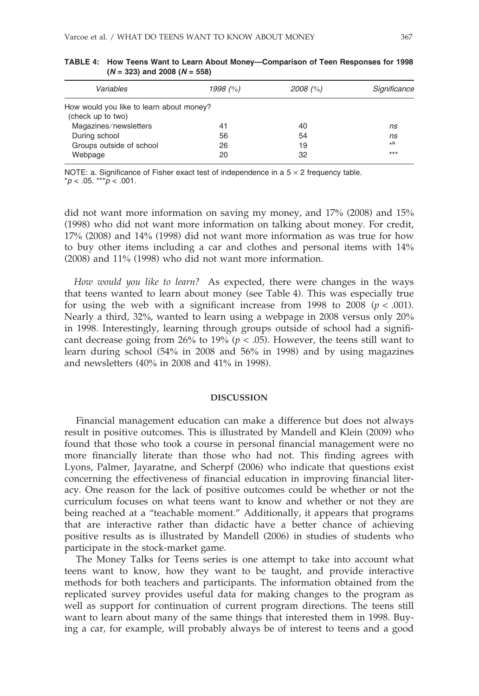| Variables                                | 1998 $(\%)$ | $2008\,(%)$ | Significance |
|------------------------------------------|-------------|-------------|--------------|
| How would you like to learn about money? |             |             |              |
| (check up to two)                        |             |             |              |
| Magazines/newsletters                    | 41          | 40          | ns           |
| During school                            | 56          | 54          | ns           |
| Groups outside of school                 | 26          | 19          | $*a$         |
| Webpage                                  | 20          | 32          | $***$        |

TABLE 4: How Teens Want to Learn About Money—Comparison of Teen Responses for 1998  $(N = 323)$  and 2008  $(N = 558)$ 

NOTE: a. Significance of Fisher exact test of independence in a  $5 \times 2$  frequency table.  $*p < .05$ . \*\*\* $p < .001$ .

did not want more information on saving my money, and 17% (2008) and 15% (1998) who did not want more information on talking about money. For credit, 17% (2008) and 14% (1998) did not want more information as was true for how to buy other items including a car and clothes and personal items with 14% (2008) and 11% (1998) who did not want more information.

How would you like to learn? As expected, there were changes in the ways that teens wanted to learn about money (see Table 4). This was especially true for using the web with a significant increase from 1998 to 2008 ( $p < .001$ ). Nearly a third, 32%, wanted to learn using a webpage in 2008 versus only 20% in 1998. Interestingly, learning through groups outside of school had a significant decrease going from 26% to 19% ( $p < .05$ ). However, the teens still want to learn during school (54% in 2008 and 56% in 1998) and by using magazines and newsletters (40% in 2008 and 41% in 1998).

#### DISCUSSION

Financial management education can make a difference but does not always result in positive outcomes. This is illustrated by Mandell and Klein (2009) who found that those who took a course in personal financial management were no more financially literate than those who had not. This finding agrees with Lyons, Palmer, Jayaratne, and Scherpf (2006) who indicate that questions exist concerning the effectiveness of financial education in improving financial literacy. One reason for the lack of positive outcomes could be whether or not the curriculum focuses on what teens want to know and whether or not they are being reached at a "teachable moment." Additionally, it appears that programs that are interactive rather than didactic have a better chance of achieving positive results as is illustrated by Mandell (2006) in studies of students who participate in the stock-market game.

The Money Talks for Teens series is one attempt to take into account what teens want to know, how they want to be taught, and provide interactive methods for both teachers and participants. The information obtained from the replicated survey provides useful data for making changes to the program as well as support for continuation of current program directions. The teens still want to learn about many of the same things that interested them in 1998. Buying a car, for example, will probably always be of interest to teens and a good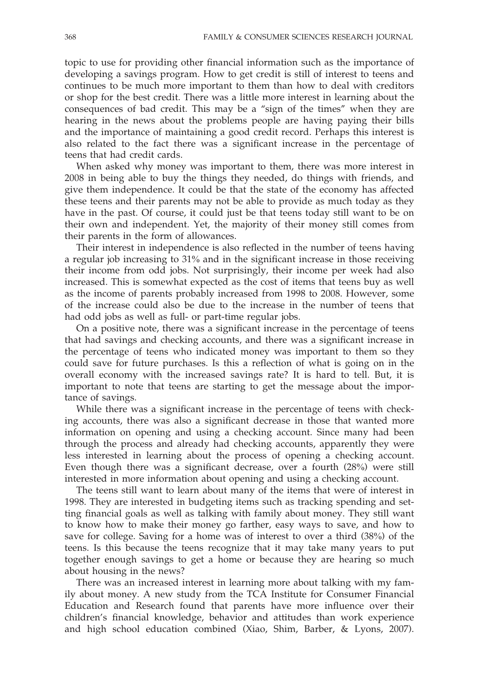topic to use for providing other financial information such as the importance of developing a savings program. How to get credit is still of interest to teens and continues to be much more important to them than how to deal with creditors or shop for the best credit. There was a little more interest in learning about the consequences of bad credit. This may be a "sign of the times" when they are hearing in the news about the problems people are having paying their bills and the importance of maintaining a good credit record. Perhaps this interest is also related to the fact there was a significant increase in the percentage of teens that had credit cards.

When asked why money was important to them, there was more interest in 2008 in being able to buy the things they needed, do things with friends, and give them independence. It could be that the state of the economy has affected these teens and their parents may not be able to provide as much today as they have in the past. Of course, it could just be that teens today still want to be on their own and independent. Yet, the majority of their money still comes from their parents in the form of allowances.

Their interest in independence is also reflected in the number of teens having a regular job increasing to 31% and in the significant increase in those receiving their income from odd jobs. Not surprisingly, their income per week had also increased. This is somewhat expected as the cost of items that teens buy as well as the income of parents probably increased from 1998 to 2008. However, some of the increase could also be due to the increase in the number of teens that had odd jobs as well as full- or part-time regular jobs.

On a positive note, there was a significant increase in the percentage of teens that had savings and checking accounts, and there was a significant increase in the percentage of teens who indicated money was important to them so they could save for future purchases. Is this a reflection of what is going on in the overall economy with the increased savings rate? It is hard to tell. But, it is important to note that teens are starting to get the message about the importance of savings.

While there was a significant increase in the percentage of teens with checking accounts, there was also a significant decrease in those that wanted more information on opening and using a checking account. Since many had been through the process and already had checking accounts, apparently they were less interested in learning about the process of opening a checking account. Even though there was a significant decrease, over a fourth (28%) were still interested in more information about opening and using a checking account.

The teens still want to learn about many of the items that were of interest in 1998. They are interested in budgeting items such as tracking spending and setting financial goals as well as talking with family about money. They still want to know how to make their money go farther, easy ways to save, and how to save for college. Saving for a home was of interest to over a third (38%) of the teens. Is this because the teens recognize that it may take many years to put together enough savings to get a home or because they are hearing so much about housing in the news?

There was an increased interest in learning more about talking with my family about money. A new study from the TCA Institute for Consumer Financial Education and Research found that parents have more influence over their children's financial knowledge, behavior and attitudes than work experience and high school education combined (Xiao, Shim, Barber, & Lyons, 2007).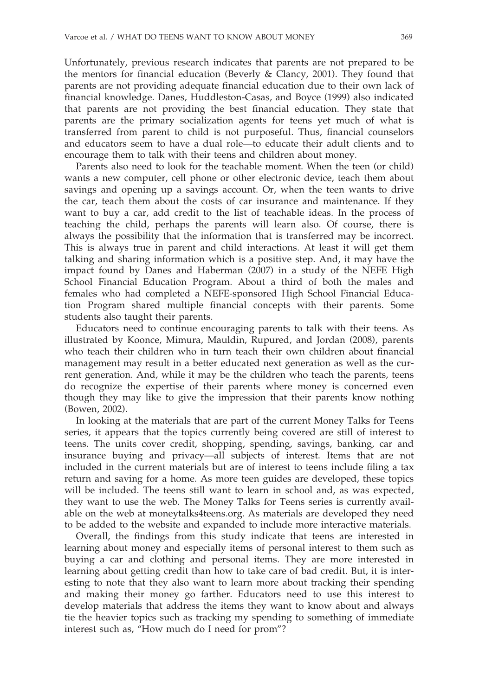Unfortunately, previous research indicates that parents are not prepared to be the mentors for financial education (Beverly & Clancy, 2001). They found that parents are not providing adequate financial education due to their own lack of financial knowledge. Danes, Huddleston-Casas, and Boyce (1999) also indicated that parents are not providing the best financial education. They state that parents are the primary socialization agents for teens yet much of what is transferred from parent to child is not purposeful. Thus, financial counselors and educators seem to have a dual role—to educate their adult clients and to encourage them to talk with their teens and children about money.

Parents also need to look for the teachable moment. When the teen (or child) wants a new computer, cell phone or other electronic device, teach them about savings and opening up a savings account. Or, when the teen wants to drive the car, teach them about the costs of car insurance and maintenance. If they want to buy a car, add credit to the list of teachable ideas. In the process of teaching the child, perhaps the parents will learn also. Of course, there is always the possibility that the information that is transferred may be incorrect. This is always true in parent and child interactions. At least it will get them talking and sharing information which is a positive step. And, it may have the impact found by Danes and Haberman (2007) in a study of the NEFE High School Financial Education Program. About a third of both the males and females who had completed a NEFE-sponsored High School Financial Education Program shared multiple financial concepts with their parents. Some students also taught their parents.

Educators need to continue encouraging parents to talk with their teens. As illustrated by Koonce, Mimura, Mauldin, Rupured, and Jordan (2008), parents who teach their children who in turn teach their own children about financial management may result in a better educated next generation as well as the current generation. And, while it may be the children who teach the parents, teens do recognize the expertise of their parents where money is concerned even though they may like to give the impression that their parents know nothing (Bowen, 2002).

In looking at the materials that are part of the current Money Talks for Teens series, it appears that the topics currently being covered are still of interest to teens. The units cover credit, shopping, spending, savings, banking, car and insurance buying and privacy—all subjects of interest. Items that are not included in the current materials but are of interest to teens include filing a tax return and saving for a home. As more teen guides are developed, these topics will be included. The teens still want to learn in school and, as was expected, they want to use the web. The Money Talks for Teens series is currently available on the web at moneytalks4teens.org. As materials are developed they need to be added to the website and expanded to include more interactive materials.

Overall, the findings from this study indicate that teens are interested in learning about money and especially items of personal interest to them such as buying a car and clothing and personal items. They are more interested in learning about getting credit than how to take care of bad credit. But, it is interesting to note that they also want to learn more about tracking their spending and making their money go farther. Educators need to use this interest to develop materials that address the items they want to know about and always tie the heavier topics such as tracking my spending to something of immediate interest such as, "How much do I need for prom"?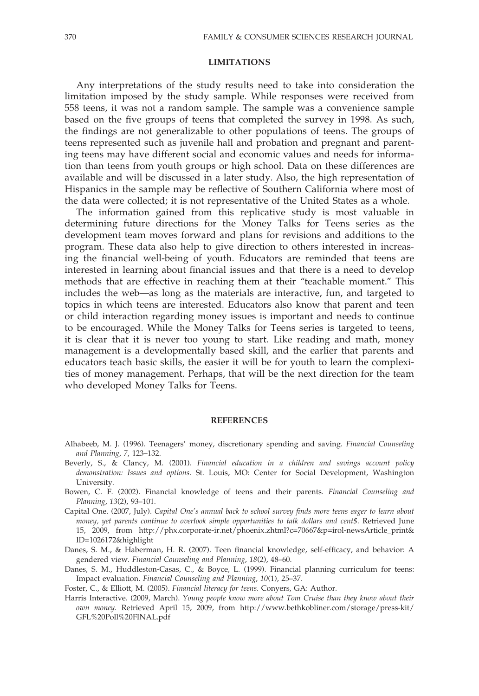#### LIMITATIONS

Any interpretations of the study results need to take into consideration the limitation imposed by the study sample. While responses were received from 558 teens, it was not a random sample. The sample was a convenience sample based on the five groups of teens that completed the survey in 1998. As such, the findings are not generalizable to other populations of teens. The groups of teens represented such as juvenile hall and probation and pregnant and parenting teens may have different social and economic values and needs for information than teens from youth groups or high school. Data on these differences are available and will be discussed in a later study. Also, the high representation of Hispanics in the sample may be reflective of Southern California where most of the data were collected; it is not representative of the United States as a whole.

The information gained from this replicative study is most valuable in determining future directions for the Money Talks for Teens series as the development team moves forward and plans for revisions and additions to the program. These data also help to give direction to others interested in increasing the financial well-being of youth. Educators are reminded that teens are interested in learning about financial issues and that there is a need to develop methods that are effective in reaching them at their ''teachable moment.'' This includes the web—as long as the materials are interactive, fun, and targeted to topics in which teens are interested. Educators also know that parent and teen or child interaction regarding money issues is important and needs to continue to be encouraged. While the Money Talks for Teens series is targeted to teens, it is clear that it is never too young to start. Like reading and math, money management is a developmentally based skill, and the earlier that parents and educators teach basic skills, the easier it will be for youth to learn the complexities of money management. Perhaps, that will be the next direction for the team who developed Money Talks for Teens.

#### REFERENCES

- Alhabeeb, M. J. (1996). Teenagers' money, discretionary spending and saving. Financial Counseling and Planning, 7, 123–132.
- Beverly, S., & Clancy, M. (2001). Financial education in a children and savings account policy demonstration: Issues and options. St. Louis, MO: Center for Social Development, Washington University.
- Bowen, C. F. (2002). Financial knowledge of teens and their parents. Financial Counseling and Planning, 13(2), 93–101.
- Capital One. (2007, July). Capital One's annual back to school survey finds more teens eager to learn about money, yet parents continue to overlook simple opportunities to talk dollars and cent\$. Retrieved June 15, 2009, from http://phx.corporate-ir.net/phoenix.zhtml?c=70667&p=irol-newsArticle\_print& ID=1026172&highlight
- Danes, S. M., & Haberman, H. R. (2007). Teen financial knowledge, self-efficacy, and behavior: A gendered view. Financial Counseling and Planning, 18(2), 48–60.
- Danes, S. M., Huddleston-Casas, C., & Boyce, L. (1999). Financial planning curriculum for teens: Impact evaluation. Financial Counseling and Planning, 10(1), 25–37.
- Foster, C., & Elliott, M. (2005). Financial literacy for teens. Conyers, GA: Author.
- Harris Interactive. (2009, March). Young people know more about Tom Cruise than they know about their own money. Retrieved April 15, 2009, from http://www.bethkobliner.com/storage/press-kit/ GFL%20Poll%20FINAL.pdf